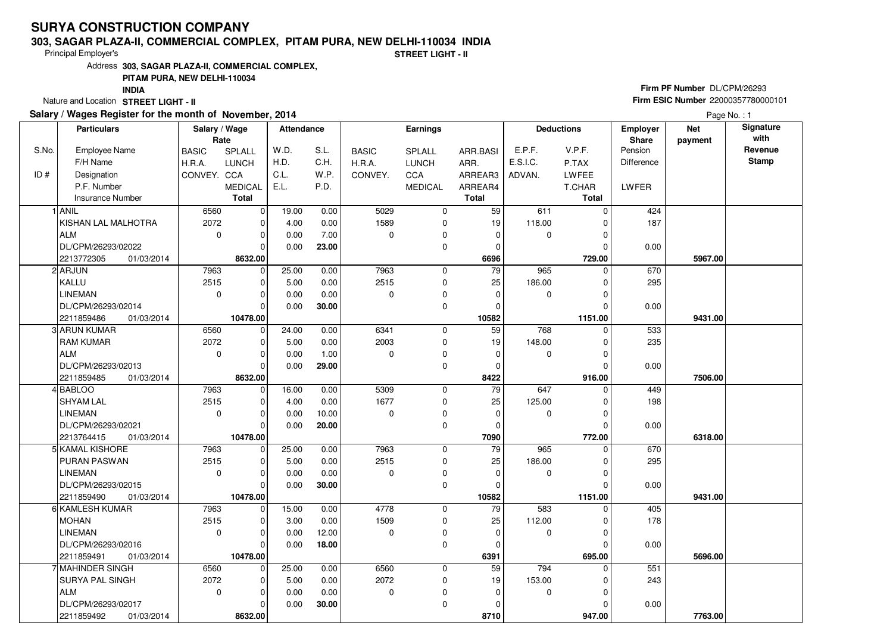# **SURYA CONSTRUCTION COMPANY**

#### **303, SAGAR PLAZA-II, COMMERCIAL COMPLEX, PITAM PURA, NEW DELHI-110034 INDIA**

Principal Employer's

**STREET LIGHT - II**

Address**303, SAGAR PLAZA-II, COMMERCIAL COMPLEX,**

## **PITAM PURA, NEW DELHI-110034**

**INDIA**

Nature and Location **STREET LIGHT - II** 

### **Salary / Wages Register for the month of November, 2014**

## **Firm PF Number** DL/CPM/26293 **Firm ESIC Number** <sup>22000357780000101</sup>

Page No. : 1

| <b>Particulars</b> |                          | Salary / Wage<br>Rate |                | Attendance |       | <b>Earnings</b> |                |                 | <b>Deductions</b> |              | Employer<br>Share | <b>Net</b><br>payment | Signature<br>with |
|--------------------|--------------------------|-----------------------|----------------|------------|-------|-----------------|----------------|-----------------|-------------------|--------------|-------------------|-----------------------|-------------------|
| S.No.              | <b>Employee Name</b>     | <b>BASIC</b>          | SPLALL         | W.D.       | S.L.  | <b>BASIC</b>    | <b>SPLALL</b>  | ARR.BASI        | E.P.F.            | V.P.F.       | Pension           |                       | Revenue           |
|                    | F/H Name                 | H.R.A.                | <b>LUNCH</b>   | H.D.       | C.H.  | H.R.A.          | <b>LUNCH</b>   | ARR.            | E.S.I.C.          | P.TAX        | <b>Difference</b> |                       | <b>Stamp</b>      |
| ID#                | Designation              | CONVEY. CCA           |                | C.L.       | W.P.  | CONVEY.         | CCA            | ARREAR3         | ADVAN.            | <b>LWFEE</b> |                   |                       |                   |
|                    | P.F. Number              |                       | <b>MEDICAL</b> | E.L.       | P.D.  |                 | <b>MEDICAL</b> | ARREAR4         |                   | T.CHAR       | LWFER             |                       |                   |
|                    | <b>Insurance Number</b>  |                       | <b>Total</b>   |            |       |                 |                | <b>Total</b>    |                   | <b>Total</b> |                   |                       |                   |
|                    | 1 ANIL                   | 6560                  | $\mathbf 0$    | 19.00      | 0.00  | 5029            | 0              | 59              | 611               | $\Omega$     | 424               |                       |                   |
|                    | KISHAN LAL MALHOTRA      | 2072                  | $\mathbf 0$    | 4.00       | 0.00  | 1589            | 0              | 19              | 118.00            | $\Omega$     | 187               |                       |                   |
|                    | ALM                      | $\mathbf 0$           | $\mathbf 0$    | 0.00       | 7.00  | $\Omega$        | 0              | 0               | 0                 | $\Omega$     |                   |                       |                   |
|                    | DL/CPM/26293/02022       |                       | $\Omega$       | 0.00       | 23.00 |                 | 0              | 0               |                   | O            | 0.00              |                       |                   |
|                    | 2213772305<br>01/03/2014 |                       | 8632.00        |            |       |                 |                | 6696            |                   | 729.00       |                   | 5967.00               |                   |
|                    | 2 ARJUN                  | 7963                  | $\mathbf 0$    | 25.00      | 0.00  | 7963            | $\mathbf 0$    | $\overline{79}$ | 965               | $\Omega$     | 670               |                       |                   |
|                    | KALLU                    | 2515                  | 0              | 5.00       | 0.00  | 2515            | 0              | 25              | 186.00            | $\Omega$     | 295               |                       |                   |
|                    | <b>LINEMAN</b>           | $\mathbf 0$           | $\mathbf 0$    | 0.00       | 0.00  | $\Omega$        | 0              | $\mathbf 0$     | 0                 | $\Omega$     |                   |                       |                   |
|                    | DL/CPM/26293/02014       |                       | $\Omega$       | 0.00       | 30.00 |                 | $\mathbf 0$    | $\Omega$        |                   | $\Omega$     | 0.00              |                       |                   |
|                    | 2211859486<br>01/03/2014 |                       | 10478.00       |            |       |                 |                | 10582           |                   | 1151.00      |                   | 9431.00               |                   |
|                    | 3 ARUN KUMAR             | 6560                  | $\mathbf 0$    | 24.00      | 0.00  | 6341            | 0              | 59              | 768               | 0            | 533               |                       |                   |
|                    | <b>RAM KUMAR</b>         | 2072                  | $\mathbf 0$    | 5.00       | 0.00  | 2003            | 0              | 19              | 148.00            | 0            | 235               |                       |                   |
|                    | ALM                      | $\mathbf 0$           | $\Omega$       | 0.00       | 1.00  | $\Omega$        | 0              | $\Omega$        | 0                 | $\Omega$     |                   |                       |                   |
|                    | DL/CPM/26293/02013       |                       | $\Omega$       | 0.00       | 29.00 |                 | 0              | $\mathbf 0$     |                   | $\Omega$     | 0.00              |                       |                   |
|                    | 2211859485<br>01/03/2014 |                       | 8632.00        |            |       |                 |                | 8422            |                   | 916.00       |                   | 7506.00               |                   |
|                    | 4 BABLOO                 | 7963                  | 0              | 16.00      | 0.00  | 5309            | $\mathbf 0$    | $\overline{79}$ | 647               | $\Omega$     | 449               |                       |                   |
|                    | <b>SHYAM LAL</b>         | 2515                  | $\mathbf 0$    | 4.00       | 0.00  | 1677            | $\mathbf 0$    | 25              | 125.00            |              | 198               |                       |                   |
|                    | <b>LINEMAN</b>           | $\mathbf 0$           | $\Omega$       | 0.00       | 10.00 | $\Omega$        | 0              | $\mathbf 0$     | 0                 | $\Omega$     |                   |                       |                   |
|                    | DL/CPM/26293/02021       |                       | $\Omega$       | 0.00       | 20.00 |                 | $\mathbf 0$    | 0               |                   | $\Omega$     | 0.00              |                       |                   |
|                    | 2213764415<br>01/03/2014 |                       | 10478.00       |            |       |                 |                | 7090            |                   | 772.00       |                   | 6318.00               |                   |
|                    | 5 KAMAL KISHORE          | 7963                  | $\mathbf 0$    | 25.00      | 0.00  | 7963            | 0              | 79              | 965               | 0            | 670               |                       |                   |
|                    | <b>PURAN PASWAN</b>      | 2515                  | $\Omega$       | 5.00       | 0.00  | 2515            | $\mathbf 0$    | 25              | 186.00            |              | 295               |                       |                   |
|                    | <b>LINEMAN</b>           | $\mathbf 0$           | $\mathbf 0$    | 0.00       | 0.00  | $\Omega$        | 0              | $\mathbf 0$     | 0                 | O            |                   |                       |                   |
|                    | DL/CPM/26293/02015       |                       | $\Omega$       | 0.00       | 30.00 |                 | $\mathbf 0$    | $\mathbf 0$     |                   |              | 0.00              |                       |                   |
|                    | 2211859490<br>01/03/2014 |                       | 10478.00       |            |       |                 |                | 10582           |                   | 1151.00      |                   | 9431.00               |                   |
|                    | 6 KAMLESH KUMAR          | 7963                  | 0              | 15.00      | 0.00  | 4778            | $\mathbf 0$    | 79              | 583               | $\Omega$     | 405               |                       |                   |
|                    | <b>MOHAN</b>             | 2515                  | $\mathbf 0$    | 3.00       | 0.00  | 1509            | 0              | 25              | 112.00            |              | 178               |                       |                   |
|                    | <b>LINEMAN</b>           | $\Omega$              | $\Omega$       | 0.00       | 12.00 | $\Omega$        | $\mathbf 0$    | $\Omega$        | 0                 | $\Omega$     |                   |                       |                   |
|                    | DL/CPM/26293/02016       |                       | $\Omega$       | 0.00       | 18.00 |                 | $\Omega$       | $\Omega$        |                   |              | 0.00              |                       |                   |
|                    | 2211859491<br>01/03/2014 |                       | 10478.00       |            |       |                 |                | 6391            |                   | 695.00       |                   | 5696.00               |                   |
|                    | 7 MAHINDER SINGH         | 6560                  | $\mathbf 0$    | 25.00      | 0.00  | 6560            | $\mathbf 0$    | 59              | 794               | $\Omega$     | 551               |                       |                   |
|                    | <b>SURYA PAL SINGH</b>   | 2072                  | $\Omega$       | 5.00       | 0.00  | 2072            | 0              | 19              | 153.00            |              | 243               |                       |                   |
|                    | ALM                      | $\mathbf 0$           | $\Omega$       | 0.00       | 0.00  | 0               | 0              | $\mathbf 0$     | 0                 |              |                   |                       |                   |
|                    | DL/CPM/26293/02017       |                       | $\Omega$       | 0.00       | 30.00 |                 | $\mathbf 0$    | $\Omega$        |                   |              | 0.00              |                       |                   |
|                    | 2211859492<br>01/03/2014 |                       | 8632.00        |            |       |                 |                | 8710            |                   | 947.00       |                   | 7763.00               |                   |